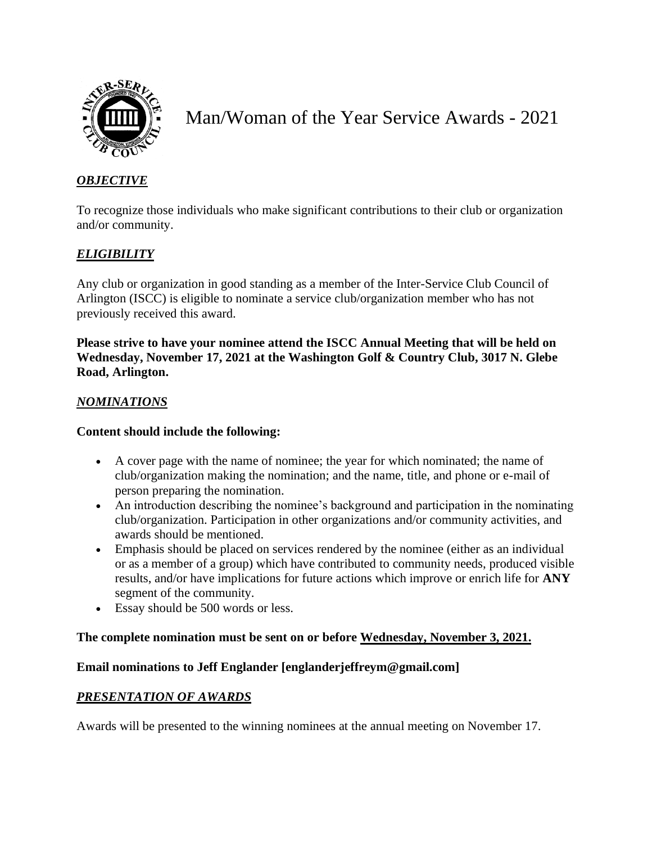

# Man/Woman of the Year Service Awards - 2021

### *OBJECTIVE*

To recognize those individuals who make significant contributions to their club or organization and/or community.

## *ELIGIBILITY*

Any club or organization in good standing as a member of the Inter-Service Club Council of Arlington (ISCC) is eligible to nominate a service club/organization member who has not previously received this award.

**Please strive to have your nominee attend the ISCC Annual Meeting that will be held on Wednesday, November 17, 2021 at the Washington Golf & Country Club, 3017 N. Glebe Road, Arlington.** 

#### *NOMINATIONS*

#### **Content should include the following:**

- A cover page with the name of nominee; the year for which nominated; the name of club/organization making the nomination; and the name, title, and phone or e-mail of person preparing the nomination.
- An introduction describing the nominee's background and participation in the nominating club/organization. Participation in other organizations and/or community activities, and awards should be mentioned.
- Emphasis should be placed on services rendered by the nominee (either as an individual or as a member of a group) which have contributed to community needs, produced visible results, and/or have implications for future actions which improve or enrich life for **ANY**  segment of the community.
- Essay should be 500 words or less.

#### **The complete nomination must be sent on or before Wednesday, November 3, 2021.**

#### **Email nominations to Jeff Englander [englanderjeffreym@gmail.com]**

#### *PRESENTATION OF AWARDS*

Awards will be presented to the winning nominees at the annual meeting on November 17.